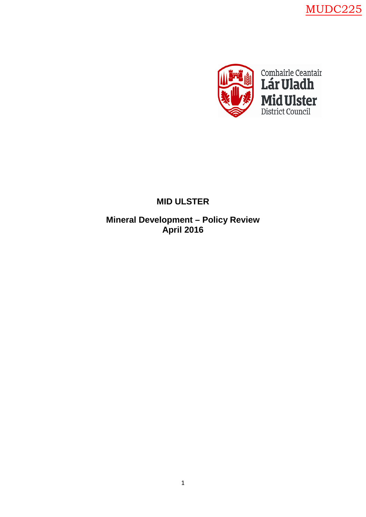MUDC225



# **MID ULSTER**

**Mineral Development – Policy Review April 2016**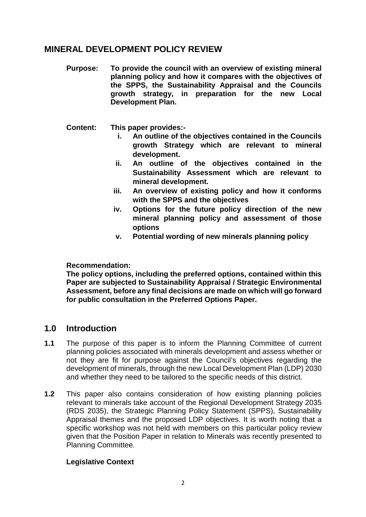## **MINERAL DEVELOPMENT POLICY REVIEW**

- **Purpose: To provide the council with an overview of existing mineral planning policy and how it compares with the objectives of the SPPS, the Sustainability Appraisal and the Councils growth strategy, in preparation for the new Local Development Plan.**
- **Content: This paper provides:**
	- **i. An outline of the objectives contained in the Councils growth Strategy which are relevant to mineral development.**
	- **ii. An outline of the objectives contained in the Sustainability Assessment which are relevant to mineral development.**
	- **iii. An overview of existing policy and how it conforms with the SPPS and the objectives**
	- **iv. Options for the future policy direction of the new mineral planning policy and assessment of those options**
	- **v. Potential wording of new minerals planning policy**

#### **Recommendation:**

**The policy options, including the preferred options, contained within this Paper are subjected to Sustainability Appraisal / Strategic Environmental Assessment, before any final decisions are made on which will go forward for public consultation in the Preferred Options Paper.**

## **1.0 Introduction**

- **1.1** The purpose of this paper is to inform the Planning Committee of current planning policies associated with minerals development and assess whether or not they are fit for purpose against the Council's objectives regarding the development of minerals, through the new Local Development Plan (LDP) 2030 and whether they need to be tailored to the specific needs of this district.
- **1.2** This paper also contains consideration of how existing planning policies relevant to minerals take account of the Regional Development Strategy 2035 (RDS 2035), the Strategic Planning Policy Statement (SPPS), Sustainability Appraisal themes and the proposed LDP objectives. It is worth noting that a specific workshop was not held with members on this particular policy review given that the Position Paper in relation to Minerals was recently presented to Planning Committee.

#### **Legislative Context**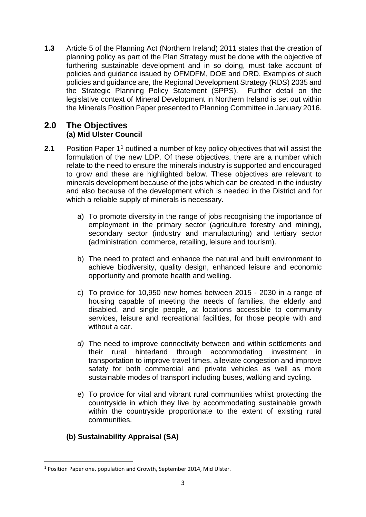**1.3** Article 5 of the Planning Act (Northern Ireland) 2011 states that the creation of planning policy as part of the Plan Strategy must be done with the objective of furthering sustainable development and in so doing, must take account of policies and guidance issued by OFMDFM, DOE and DRD. Examples of such policies and guidance are, the Regional Development Strategy (RDS) 2035 and the Strategic Planning Policy Statement (SPPS). Further detail on the legislative context of Mineral Development in Northern Ireland is set out within the Minerals Position Paper presented to Planning Committee in January 2016.

## **2.0 The Objectives (a) Mid Ulster Council**

- **2.1** Position Paper 1<sup>1</sup> outlined a number of key policy objectives that will assist the formulation of the new LDP. Of these objectives, there are a number which relate to the need to ensure the minerals industry is supported and encouraged to grow and these are highlighted below. These objectives are relevant to minerals development because of the jobs which can be created in the industry and also because of the development which is needed in the District and for which a reliable supply of minerals is necessary.
	- a) To promote diversity in the range of jobs recognising the importance of employment in the primary sector (agriculture forestry and mining), secondary sector (industry and manufacturing) and tertiary sector (administration, commerce, retailing, leisure and tourism).
	- b) The need to protect and enhance the natural and built environment to achieve biodiversity, quality design, enhanced leisure and economic opportunity and promote health and welling.
	- c) To provide for 10,950 new homes between 2015 2030 in a range of housing capable of meeting the needs of families, the elderly and disabled, and single people, at locations accessible to community services, leisure and recreational facilities, for those people with and without a car.
	- *d)* The need to improve connectivity between and within settlements and their rural hinterland through accommodating investment in transportation to improve travel times, alleviate congestion and improve safety for both commercial and private vehicles as well as more sustainable modes of transport including buses, walking and cycling*.*
	- e) To provide for vital and vibrant rural communities whilst protecting the countryside in which they live by accommodating sustainable growth within the countryside proportionate to the extent of existing rural communities.

## **(b) Sustainability Appraisal (SA)**

<span id="page-2-0"></span><sup>&</sup>lt;u>.</u> <sup>1</sup> Position Paper one, population and Growth, September 2014, Mid Ulster.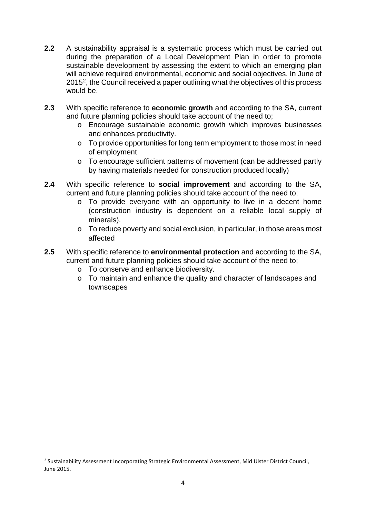- **2.2** A sustainability appraisal is a systematic process which must be carried out during the preparation of a Local Development Plan in order to promote sustainable development by assessing the extent to which an emerging plan will achieve required environmental, economic and social objectives. In June of 2015[2,](#page-3-0) the Council received a paper outlining what the objectives of this process would be.
- **2.3** With specific reference to **economic growth** and according to the SA, current and future planning policies should take account of the need to;
	- o Encourage sustainable economic growth which improves businesses and enhances productivity.
	- o To provide opportunities for long term employment to those most in need of employment
	- o To encourage sufficient patterns of movement (can be addressed partly by having materials needed for construction produced locally)
- **2.4** With specific reference to **social improvement** and according to the SA, current and future planning policies should take account of the need to;
	- o To provide everyone with an opportunity to live in a decent home (construction industry is dependent on a reliable local supply of minerals).
	- $\circ$  To reduce poverty and social exclusion, in particular, in those areas most affected
- **2.5** With specific reference to **environmental protection** and according to the SA, current and future planning policies should take account of the need to;
	- o To conserve and enhance biodiversity.
	- o To maintain and enhance the quality and character of landscapes and townscapes

-

<span id="page-3-0"></span><sup>&</sup>lt;sup>2</sup> Sustainability Assessment Incorporating Strategic Environmental Assessment, Mid Ulster District Council, June 2015.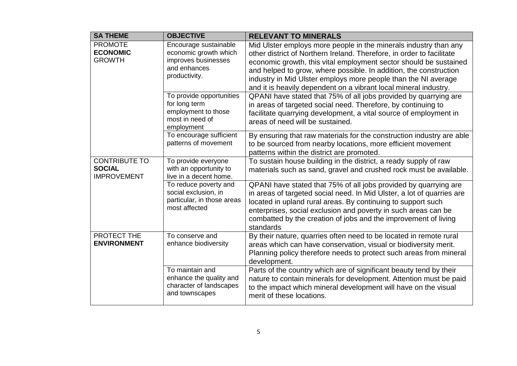| <b>SA THEME</b>                                             | <b>OBJECTIVE</b>                                                                                       | <b>RELEVANT TO MINERALS</b>                                                                                                                                                                                                                                                                                                                                                                                               |
|-------------------------------------------------------------|--------------------------------------------------------------------------------------------------------|---------------------------------------------------------------------------------------------------------------------------------------------------------------------------------------------------------------------------------------------------------------------------------------------------------------------------------------------------------------------------------------------------------------------------|
| <b>PROMOTE</b><br><b>ECONOMIC</b><br><b>GROWTH</b>          | Encourage sustainable<br>economic growth which<br>improves businesses<br>and enhances<br>productivity. | Mid Ulster employs more people in the minerals industry than any<br>other district of Northern Ireland. Therefore, in order to facilitate<br>economic growth, this vital employment sector should be sustained<br>and helped to grow, where possible. In addition, the construction<br>industry in Mid Ulster employs more people than the NI average<br>and it is heavily dependent on a vibrant local mineral industry. |
|                                                             | To provide opportunities<br>for long term<br>employment to those<br>most in need of<br>employment      | QPANI have stated that 75% of all jobs provided by quarrying are<br>in areas of targeted social need. Therefore, by continuing to<br>facilitate quarrying development, a vital source of employment in<br>areas of need will be sustained.                                                                                                                                                                                |
|                                                             | To encourage sufficient<br>patterns of movement                                                        | By ensuring that raw materials for the construction industry are able<br>to be sourced from nearby locations, more efficient movement<br>patterns within the district are promoted.                                                                                                                                                                                                                                       |
| <b>CONTRIBUTE TO</b><br><b>SOCIAL</b><br><b>IMPROVEMENT</b> | To provide everyone<br>with an opportunity to<br>live in a decent home.                                | To sustain house building in the district, a ready supply of raw<br>materials such as sand, gravel and crushed rock must be available.                                                                                                                                                                                                                                                                                    |
|                                                             | To reduce poverty and<br>social exclusion, in<br>particular, in those areas<br>most affected           | QPANI have stated that 75% of all jobs provided by quarrying are<br>in areas of targeted social need. In Mid Ulster, a lot of quarries are<br>located in upland rural areas. By continuing to support such<br>enterprises, social exclusion and poverty in such areas can be<br>combatted by the creation of jobs and the improvement of living<br>standards                                                              |
| PROTECT THE<br><b>ENVIRONMENT</b>                           | To conserve and<br>enhance biodiversity                                                                | By their nature, quarries often need to be located in remote rural<br>areas which can have conservation, visual or biodiversity merit.<br>Planning policy therefore needs to protect such areas from mineral<br>development.                                                                                                                                                                                              |
|                                                             | To maintain and<br>enhance the quality and<br>character of landscapes<br>and townscapes                | Parts of the country which are of significant beauty tend by their<br>nature to contain minerals for development. Attention must be paid<br>to the impact which mineral development will have on the visual<br>merit of these locations.                                                                                                                                                                                  |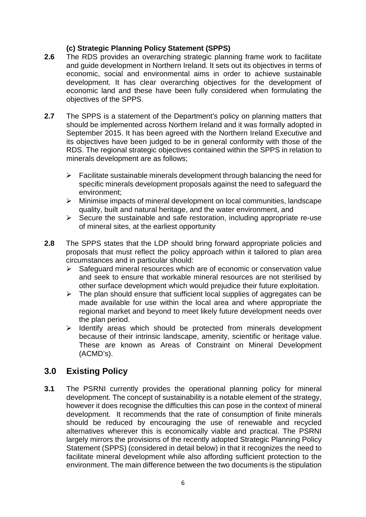#### **(c) Strategic Planning Policy Statement (SPPS)**

- **2.6** The RDS provides an overarching strategic planning frame work to facilitate and guide development in Northern Ireland. It sets out its objectives in terms of economic, social and environmental aims in order to achieve sustainable development. It has clear overarching objectives for the development of economic land and these have been fully considered when formulating the objectives of the SPPS.
- **2.7** The SPPS is a statement of the Department's policy on planning matters that should be implemented across Northern Ireland and it was formally adopted in September 2015. It has been agreed with the Northern Ireland Executive and its objectives have been judged to be in general conformity with those of the RDS. The regional strategic objectives contained within the SPPS in relation to minerals development are as follows;
	- $\triangleright$  Facilitate sustainable minerals development through balancing the need for specific minerals development proposals against the need to safeguard the environment;
	- $\triangleright$  Minimise impacts of mineral development on local communities, landscape quality, built and natural heritage, and the water environment, and
	- $\triangleright$  Secure the sustainable and safe restoration, including appropriate re-use of mineral sites, at the earliest opportunity
- **2.8** The SPPS states that the LDP should bring forward appropriate policies and proposals that must reflect the policy approach within it tailored to plan area circumstances and in particular should:
	- $\triangleright$  Safeguard mineral resources which are of economic or conservation value and seek to ensure that workable mineral resources are not sterilised by other surface development which would prejudice their future exploitation.
	- $\triangleright$  The plan should ensure that sufficient local supplies of aggregates can be made available for use within the local area and where appropriate the regional market and beyond to meet likely future development needs over the plan period.
	- $\triangleright$  Identify areas which should be protected from minerals development because of their intrinsic landscape, amenity, scientific or heritage value. These are known as Areas of Constraint on Mineral Development (ACMD's).

## **3.0 Existing Policy**

**3.1** The PSRNI currently provides the operational planning policy for mineral development. The concept of sustainability is a notable element of the strategy, however it does recognise the difficulties this can pose in the context of mineral development. It recommends that the rate of consumption of finite minerals should be reduced by encouraging the use of renewable and recycled alternatives wherever this is economically viable and practical. The PSRNI largely mirrors the provisions of the recently adopted Strategic Planning Policy Statement (SPPS) (considered in detail below) in that it recognizes the need to facilitate mineral development while also affording sufficient protection to the environment. The main difference between the two documents is the stipulation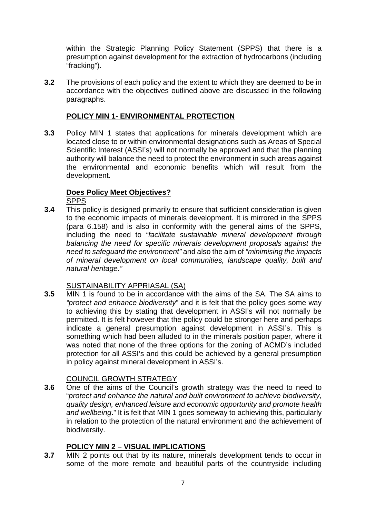within the Strategic Planning Policy Statement (SPPS) that there is a presumption against development for the extraction of hydrocarbons (including "fracking").

**3.2** The provisions of each policy and the extent to which they are deemed to be in accordance with the objectives outlined above are discussed in the following paragraphs.

#### **POLICY MIN 1- ENVIRONMENTAL PROTECTION**

**3.3** Policy MIN 1 states that applications for minerals development which are located close to or within environmental designations such as Areas of Special Scientific Interest (ASSI's) will not normally be approved and that the planning authority will balance the need to protect the environment in such areas against the environmental and economic benefits which will result from the development.

### **Does Policy Meet Objectives?**

SPPS

**3.4** This policy is designed primarily to ensure that sufficient consideration is given to the economic impacts of minerals development. It is mirrored in the SPPS (para 6.158) and is also in conformity with the general aims of the SPPS, including the need to *"facilitate sustainable mineral development through balancing the need for specific minerals development proposals against the need to safeguard the environment"* and also the aim of *"minimising the impacts of mineral development on local communities, landscape quality, built and natural heritage."*

#### SUSTAINABILITY APPRIASAL (SA)

**3.5** MIN 1 is found to be in accordance with the aims of the SA. The SA aims to *"protect and enhance biodiversity*" and it is felt that the policy goes some way to achieving this by stating that development in ASSI's will not normally be permitted. It is felt however that the policy could be stronger here and perhaps indicate a general presumption against development in ASSI's. This is something which had been alluded to in the minerals position paper, where it was noted that none of the three options for the zoning of ACMD's included protection for all ASSI's and this could be achieved by a general presumption in policy against mineral development in ASSI's.

#### COUNCIL GROWTH STRATEGY

**3.6** One of the aims of the Council's growth strategy was the need to need to "*protect and enhance the natural and built environment to achieve biodiversity, quality design, enhanced leisure and economic opportunity and promote health and wellbeing*." It is felt that MIN 1 goes someway to achieving this, particularly in relation to the protection of the natural environment and the achievement of biodiversity.

#### **POLICY MIN 2 – VISUAL IMPLICATIONS**

**3.7** MIN 2 points out that by its nature, minerals development tends to occur in some of the more remote and beautiful parts of the countryside including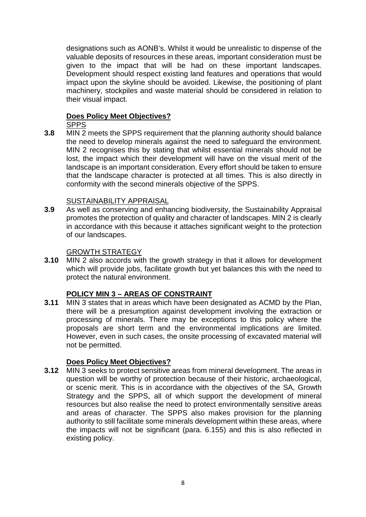designations such as AONB's. Whilst it would be unrealistic to dispense of the valuable deposits of resources in these areas, important consideration must be given to the impact that will be had on these important landscapes. Development should respect existing land features and operations that would impact upon the skyline should be avoided. Likewise, the positioning of plant machinery, stockpiles and waste material should be considered in relation to their visual impact.

### **Does Policy Meet Objectives?**

SPPS

**3.8** MIN 2 meets the SPPS requirement that the planning authority should balance the need to develop minerals against the need to safeguard the environment. MIN 2 recognises this by stating that whilst essential minerals should not be lost, the impact which their development will have on the visual merit of the landscape is an important consideration. Every effort should be taken to ensure that the landscape character is protected at all times. This is also directly in conformity with the second minerals objective of the SPPS.

### SUSTAINABILITY APPRAISAL

**3.9** As well as conserving and enhancing biodiversity, the Sustainability Appraisal promotes the protection of quality and character of landscapes. MIN 2 is clearly in accordance with this because it attaches significant weight to the protection of our landscapes.

#### GROWTH STRATEGY

**3.10** MIN 2 also accords with the growth strategy in that it allows for development which will provide jobs, facilitate growth but yet balances this with the need to protect the natural environment.

#### **POLICY MIN 3 – AREAS OF CONSTRAINT**

**3.11** MIN 3 states that in areas which have been designated as ACMD by the Plan, there will be a presumption against development involving the extraction or processing of minerals. There may be exceptions to this policy where the proposals are short term and the environmental implications are limited. However, even in such cases, the onsite processing of excavated material will not be permitted.

#### **Does Policy Meet Objectives?**

**3.12** MIN 3 seeks to protect sensitive areas from mineral development. The areas in question will be worthy of protection because of their historic, archaeological, or scenic merit. This is in accordance with the objectives of the SA, Growth Strategy and the SPPS, all of which support the development of mineral resources but also realise the need to protect environmentally sensitive areas and areas of character. The SPPS also makes provision for the planning authority to still facilitate some minerals development within these areas, where the impacts will not be significant (para. 6.155) and this is also reflected in existing policy.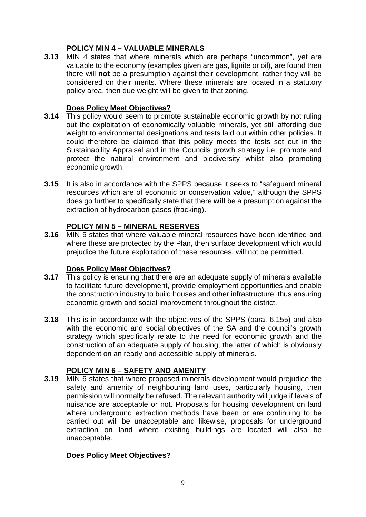## **POLICY MIN 4 – VALUABLE MINERALS**

**3.13** MIN 4 states that where minerals which are perhaps "uncommon", yet are valuable to the economy (examples given are gas, lignite or oil), are found then there will **not** be a presumption against their development, rather they will be considered on their merits. Where these minerals are located in a statutory policy area, then due weight will be given to that zoning.

#### **Does Policy Meet Objectives?**

- **3.14** This policy would seem to promote sustainable economic growth by not ruling out the exploitation of economically valuable minerals, yet still affording due weight to environmental designations and tests laid out within other policies. It could therefore be claimed that this policy meets the tests set out in the Sustainability Appraisal and in the Councils growth strategy i.e. promote and protect the natural environment and biodiversity whilst also promoting economic growth.
- **3.15** It is also in accordance with the SPPS because it seeks to "safeguard mineral resources which are of economic or conservation value," although the SPPS does go further to specifically state that there **will** be a presumption against the extraction of hydrocarbon gases (fracking).

### **POLICY MIN 5 – MINERAL RESERVES**

**3.16** MIN 5 states that where valuable mineral resources have been identified and where these are protected by the Plan, then surface development which would prejudice the future exploitation of these resources, will not be permitted.

#### **Does Policy Meet Objectives?**

- **3.17** This policy is ensuring that there are an adequate supply of minerals available to facilitate future development, provide employment opportunities and enable the construction industry to build houses and other infrastructure, thus ensuring economic growth and social improvement throughout the district.
- **3.18** This is in accordance with the objectives of the SPPS (para. 6.155) and also with the economic and social objectives of the SA and the council's growth strategy which specifically relate to the need for economic growth and the construction of an adequate supply of housing, the latter of which is obviously dependent on an ready and accessible supply of minerals.

#### **POLICY MIN 6 – SAFETY AND AMENITY**

**3.19** MIN 6 states that where proposed minerals development would prejudice the safety and amenity of neighbouring land uses, particularly housing, then permission will normally be refused. The relevant authority will judge if levels of nuisance are acceptable or not. Proposals for housing development on land where underground extraction methods have been or are continuing to be carried out will be unacceptable and likewise, proposals for underground extraction on land where existing buildings are located will also be unacceptable.

#### **Does Policy Meet Objectives?**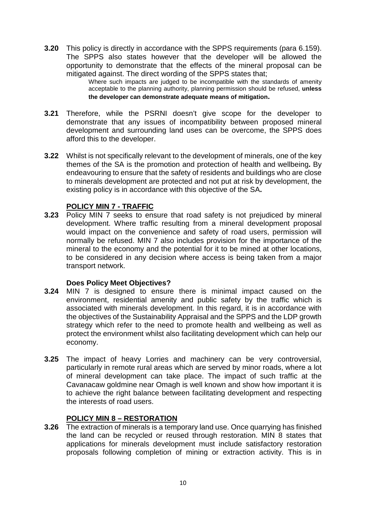**3.20** This policy is directly in accordance with the SPPS requirements (para 6.159). The SPPS also states however that the developer will be allowed the opportunity to demonstrate that the effects of the mineral proposal can be mitigated against. The direct wording of the SPPS states that;

Where such impacts are judged to be incompatible with the standards of amenity acceptable to the planning authority, planning permission should be refused, **unless the developer can demonstrate adequate means of mitigation.**

- **3.21** Therefore, while the PSRNI doesn't give scope for the developer to demonstrate that any issues of incompatibility between proposed mineral development and surrounding land uses can be overcome, the SPPS does afford this to the developer.
- **3.22** Whilst is not specifically relevant to the development of minerals, one of the key themes of the SA is the promotion and protection of health and wellbeing**.** By endeavouring to ensure that the safety of residents and buildings who are close to minerals development are protected and not put at risk by development, the existing policy is in accordance with this objective of the SA**.**

#### **POLICY MIN 7 - TRAFFIC**

**3.23** Policy MIN 7 seeks to ensure that road safety is not prejudiced by mineral development. Where traffic resulting from a mineral development proposal would impact on the convenience and safety of road users, permission will normally be refused. MIN 7 also includes provision for the importance of the mineral to the economy and the potential for it to be mined at other locations, to be considered in any decision where access is being taken from a major transport network.

#### **Does Policy Meet Objectives?**

- **3.24** MIN 7 is designed to ensure there is minimal impact caused on the environment, residential amenity and public safety by the traffic which is associated with minerals development. In this regard, it is in accordance with the objectives of the Sustainability Appraisal and the SPPS and the LDP growth strategy which refer to the need to promote health and wellbeing as well as protect the environment whilst also facilitating development which can help our economy.
- **3.25** The impact of heavy Lorries and machinery can be very controversial, particularly in remote rural areas which are served by minor roads, where a lot of mineral development can take place. The impact of such traffic at the Cavanacaw goldmine near Omagh is well known and show how important it is to achieve the right balance between facilitating development and respecting the interests of road users.

#### **POLICY MIN 8 – RESTORATION**

**3.26** The extraction of minerals is a temporary land use. Once quarrying has finished the land can be recycled or reused through restoration. MIN 8 states that applications for minerals development must include satisfactory restoration proposals following completion of mining or extraction activity. This is in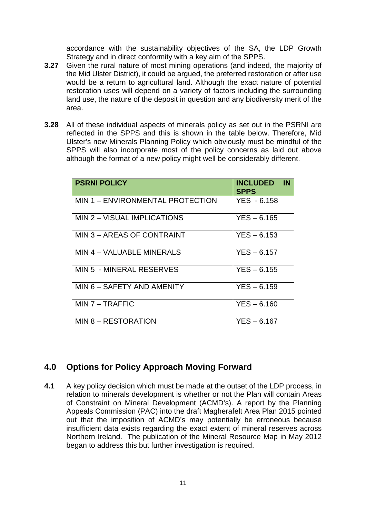accordance with the sustainability objectives of the SA, the LDP Growth Strategy and in direct conformity with a key aim of the SPPS.

- **3.27** Given the rural nature of most mining operations (and indeed, the majority of the Mid Ulster District), it could be argued, the preferred restoration or after use would be a return to agricultural land. Although the exact nature of potential restoration uses will depend on a variety of factors including the surrounding land use, the nature of the deposit in question and any biodiversity merit of the area.
- **3.28** All of these individual aspects of minerals policy as set out in the PSRNI are reflected in the SPPS and this is shown in the table below. Therefore, Mid Ulster's new Minerals Planning Policy which obviously must be mindful of the SPPS will also incorporate most of the policy concerns as laid out above although the format of a new policy might well be considerably different.

| <b>PSRNI POLICY</b>              | <b>INCLUDED</b><br>$\mathbf{I}$ N<br><b>SPPS</b> |
|----------------------------------|--------------------------------------------------|
| MIN 1 - ENVIRONMENTAL PROTECTION | YES - 6.158                                      |
| MIN 2 - VISUAL IMPLICATIONS      | $YES - 6.165$                                    |
| MIN 3 - AREAS OF CONTRAINT       | $YES - 6.153$                                    |
| MIN 4 - VALUABLE MINERALS        | $YES - 6.157$                                    |
| MIN 5 - MINERAL RESERVES         | $YES - 6.155$                                    |
| MIN 6 - SAFETY AND AMENITY       | $YES - 6.159$                                    |
| $MIN 7 - TRAFFIC$                | $YES - 6.160$                                    |
| MIN 8 - RESTORATION              | $YES - 6.167$                                    |

## **4.0 Options for Policy Approach Moving Forward**

**4.1** A key policy decision which must be made at the outset of the LDP process, in relation to minerals development is whether or not the Plan will contain Areas of Constraint on Mineral Development (ACMD's). A report by the Planning Appeals Commission (PAC) into the draft Magherafelt Area Plan 2015 pointed out that the imposition of ACMD's may potentially be erroneous because insufficient data exists regarding the exact extent of mineral reserves across Northern Ireland. The publication of the Mineral Resource Map in May 2012 began to address this but further investigation is required.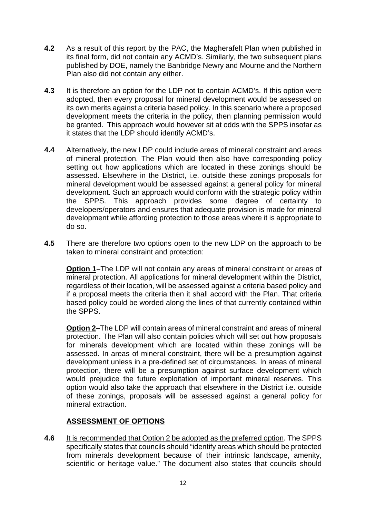- **4.2** As a result of this report by the PAC, the Magherafelt Plan when published in its final form, did not contain any ACMD's. Similarly, the two subsequent plans published by DOE, namely the Banbridge Newry and Mourne and the Northern Plan also did not contain any either.
- **4.3** It is therefore an option for the LDP not to contain ACMD's. If this option were adopted, then every proposal for mineral development would be assessed on its own merits against a criteria based policy. In this scenario where a proposed development meets the criteria in the policy, then planning permission would be granted. This approach would however sit at odds with the SPPS insofar as it states that the LDP should identify ACMD's.
- **4.4** Alternatively, the new LDP could include areas of mineral constraint and areas of mineral protection. The Plan would then also have corresponding policy setting out how applications which are located in these zonings should be assessed. Elsewhere in the District, i.e. outside these zonings proposals for mineral development would be assessed against a general policy for mineral development. Such an approach would conform with the strategic policy within the SPPS. This approach provides some degree of certainty to developers/operators and ensures that adequate provision is made for mineral development while affording protection to those areas where it is appropriate to do so.
- **4.5** There are therefore two options open to the new LDP on the approach to be taken to mineral constraint and protection:

**Option 1–**The LDP will not contain any areas of mineral constraint or areas of mineral protection. All applications for mineral development within the District, regardless of their location, will be assessed against a criteria based policy and if a proposal meets the criteria then it shall accord with the Plan. That criteria based policy could be worded along the lines of that currently contained within the SPPS.

**Option 2–**The LDP will contain areas of mineral constraint and areas of mineral protection. The Plan will also contain policies which will set out how proposals for minerals development which are located within these zonings will be assessed. In areas of mineral constraint, there will be a presumption against development unless in a pre-defined set of circumstances. In areas of mineral protection, there will be a presumption against surface development which would prejudice the future exploitation of important mineral reserves. This option would also take the approach that elsewhere in the District i.e. outside of these zonings, proposals will be assessed against a general policy for mineral extraction.

#### **ASSESSMENT OF OPTIONS**

**4.6** It is recommended that Option 2 be adopted as the preferred option. The SPPS specifically states that councils should "identify areas which should be protected from minerals development because of their intrinsic landscape, amenity, scientific or heritage value." The document also states that councils should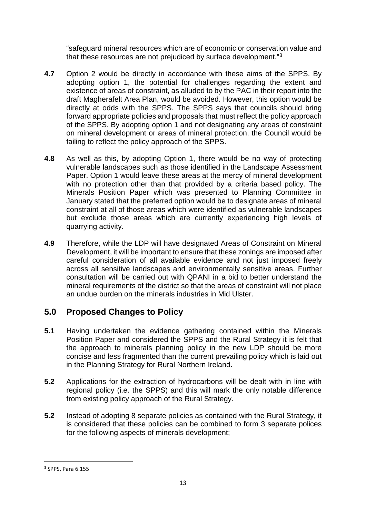"safeguard mineral resources which are of economic or conservation value and that these resources are not prejudiced by surface development."[3](#page-12-0)

- **4.7** Option 2 would be directly in accordance with these aims of the SPPS. By adopting option 1, the potential for challenges regarding the extent and existence of areas of constraint, as alluded to by the PAC in their report into the draft Magherafelt Area Plan, would be avoided. However, this option would be directly at odds with the SPPS. The SPPS says that councils should bring forward appropriate policies and proposals that must reflect the policy approach of the SPPS. By adopting option 1 and not designating any areas of constraint on mineral development or areas of mineral protection, the Council would be failing to reflect the policy approach of the SPPS.
- **4.8** As well as this, by adopting Option 1, there would be no way of protecting vulnerable landscapes such as those identified in the Landscape Assessment Paper. Option 1 would leave these areas at the mercy of mineral development with no protection other than that provided by a criteria based policy. The Minerals Position Paper which was presented to Planning Committee in January stated that the preferred option would be to designate areas of mineral constraint at all of those areas which were identified as vulnerable landscapes but exclude those areas which are currently experiencing high levels of quarrying activity.
- **4.9** Therefore, while the LDP will have designated Areas of Constraint on Mineral Development, it will be important to ensure that these zonings are imposed after careful consideration of all available evidence and not just imposed freely across all sensitive landscapes and environmentally sensitive areas. Further consultation will be carried out with QPANI in a bid to better understand the mineral requirements of the district so that the areas of constraint will not place an undue burden on the minerals industries in Mid Ulster.

## **5.0 Proposed Changes to Policy**

- **5.1** Having undertaken the evidence gathering contained within the Minerals Position Paper and considered the SPPS and the Rural Strategy it is felt that the approach to minerals planning policy in the new LDP should be more concise and less fragmented than the current prevailing policy which is laid out in the Planning Strategy for Rural Northern Ireland.
- **5.2** Applications for the extraction of hydrocarbons will be dealt with in line with regional policy (i.e. the SPPS) and this will mark the only notable difference from existing policy approach of the Rural Strategy.
- **5.2** Instead of adopting 8 separate policies as contained with the Rural Strategy, it is considered that these policies can be combined to form 3 separate polices for the following aspects of minerals development;

<span id="page-12-0"></span><sup>&</sup>lt;u>.</u> <sup>3</sup> SPPS, Para 6.155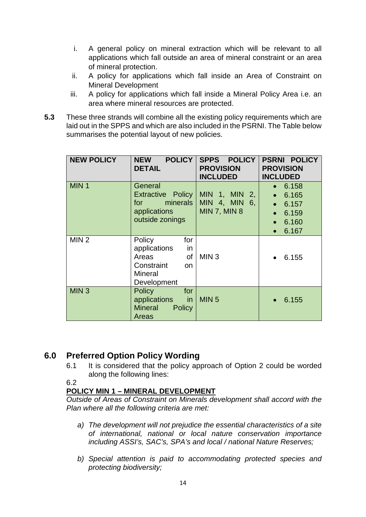- i. A general policy on mineral extraction which will be relevant to all applications which fall outside an area of mineral constraint or an area of mineral protection.
- ii. A policy for applications which fall inside an Area of Constraint on Mineral Development
- iii. A policy for applications which fall inside a Mineral Policy Area i.e. an area where mineral resources are protected.
- **5.3** These three strands will combine all the existing policy requirements which are laid out in the SPPS and which are also included in the PSRNI. The Table below summarises the potential layout of new policies.

| <b>NEW POLICY</b> | <b>NEW</b><br><b>DETAIL</b>                                                                             | POLICY   SPPS POLICY  <br><b>PROVISION</b><br><b>INCLUDED</b> | <b>PSRNI POLICY</b><br><b>PROVISION</b><br><b>INCLUDED</b>                                            |
|-------------------|---------------------------------------------------------------------------------------------------------|---------------------------------------------------------------|-------------------------------------------------------------------------------------------------------|
| MIN <sub>1</sub>  | General<br><b>Extractive Policy</b><br>for<br>applications<br>outside zonings                           | MIN 1, MIN 2,<br>minerals $ MIN 4$ , MIN 6,<br>  MIN 7, MIN 8 | 6.158<br>• 6.165<br>$\bullet$ 6.157<br>6.159<br>$\bullet$<br>6.160<br>$\bullet$<br>6.167<br>$\bullet$ |
| MIN <sub>2</sub>  | Policy<br>for<br>applications<br>in<br>Areas<br>of<br>Constraint<br>on<br><b>Mineral</b><br>Development | MIN <sub>3</sub>                                              | 6.155                                                                                                 |
| MIN <sub>3</sub>  | <b>Policy</b><br>for<br>applications<br><b>in</b><br><b>Mineral</b><br>Policy<br>Areas                  | MIN <sub>5</sub>                                              | 6.155                                                                                                 |

## **6.0 Preferred Option Policy Wording**

6.1 It is considered that the policy approach of Option 2 could be worded along the following lines:

6.2

## **POLICY MIN 1 – MINERAL DEVELOPMENT**

*Outside of Areas of Constraint on Minerals development shall accord with the Plan where all the following criteria are met:*

- *a) The development will not prejudice the essential characteristics of a site of international, national or local nature conservation importance including ASSI's, SAC's, SPA's and local / national Nature Reserves;*
- *b) Special attention is paid to accommodating protected species and protecting biodiversity;*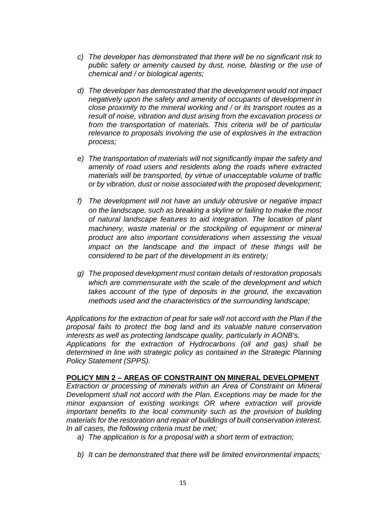- *c) The developer has demonstrated that there will be no significant risk to public safety or amenity caused by dust, noise, blasting or the use of chemical and / or biological agents;*
- *d) The developer has demonstrated that the development would not impact negatively upon the safety and amenity of occupants of development in close proximity to the mineral working and / or its transport routes as a result of noise, vibration and dust arising from the excavation process or from the transportation of materials. This criteria will be of particular relevance to proposals involving the use of explosives in the extraction process;*
- *e) The transportation of materials will not significantly impair the safety and amenity of road users and residents along the roads where extracted materials will be transported, by virtue of unacceptable volume of traffic or by vibration, dust or noise associated with the proposed development;*
- *f) The development will not have an unduly obtrusive or negative impact on the landscape, such as breaking a skyline or failing to make the most of natural landscape features to aid integration. The location of plant machinery, waste material or the stockpiling of equipment or mineral product are also important considerations when assessing the visual impact on the landscape and the impact of these things will be considered to be part of the development in its entirety;*
- *g) The proposed development must contain details of restoration proposals which are commensurate with the scale of the development and which takes account of the type of deposits in the ground, the excavation methods used and the characteristics of the surrounding landscape;*

*Applications for the extraction of peat for sale will not accord with the Plan if the proposal fails to protect the bog land and its valuable nature conservation interests as well as protecting landscape quality, particularly in AONB's. Applications for the extraction of Hydrocarbons (oil and gas) shall be determined in line with strategic policy as contained in the Strategic Planning Policy Statement (SPPS).*

#### **POLICY MIN 2 – AREAS OF CONSTRAINT ON MINERAL DEVELOPMENT**

*Extraction or processing of minerals within an Area of Constraint on Mineral Development shall not accord with the Plan. Exceptions may be made for the minor expansion of existing workings OR where extraction will provide important benefits to the local community such as the provision of building materials for the restoration and repair of buildings of built conservation interest. In all cases, the following criteria must be met;*

- *a) The application is for a proposal with a short term of extraction;*
- *b) It can be demonstrated that there will be limited environmental impacts;*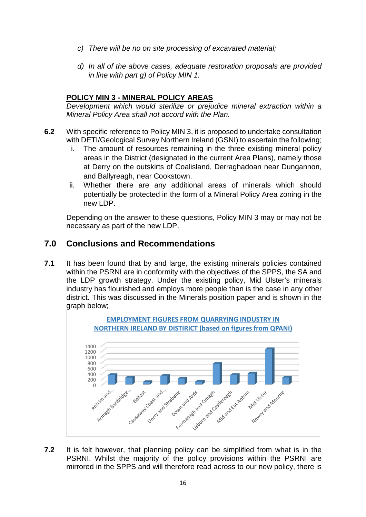- *c) There will be no on site processing of excavated material;*
- *d) In all of the above cases, adequate restoration proposals are provided in line with part g) of Policy MIN 1.*

#### **POLICY MIN 3 - MINERAL POLICY AREAS**

*Development which would sterilize or prejudice mineral extraction within a Mineral Policy Area shall not accord with the Plan.*

- **6.2** With specific reference to Policy MIN 3, it is proposed to undertake consultation with DETI/Geological Survey Northern Ireland (GSNI) to ascertain the following;
	- i. The amount of resources remaining in the three existing mineral policy areas in the District (designated in the current Area Plans), namely those at Derry on the outskirts of Coalisland, Derraghadoan near Dungannon, and Ballyreagh, near Cookstown.
	- ii. Whether there are any additional areas of minerals which should potentially be protected in the form of a Mineral Policy Area zoning in the new LDP.

Depending on the answer to these questions, Policy MIN 3 may or may not be necessary as part of the new LDP.

## **7.0 Conclusions and Recommendations**

**7.1** It has been found that by and large, the existing minerals policies contained within the PSRNI are in conformity with the objectives of the SPPS, the SA and the LDP growth strategy. Under the existing policy, Mid Ulster's minerals industry has flourished and employs more people than is the case in any other district. This was discussed in the Minerals position paper and is shown in the graph below;



**7.2** It is felt however, that planning policy can be simplified from what is in the PSRNI. Whilst the majority of the policy provisions within the PSRNI are mirrored in the SPPS and will therefore read across to our new policy, there is